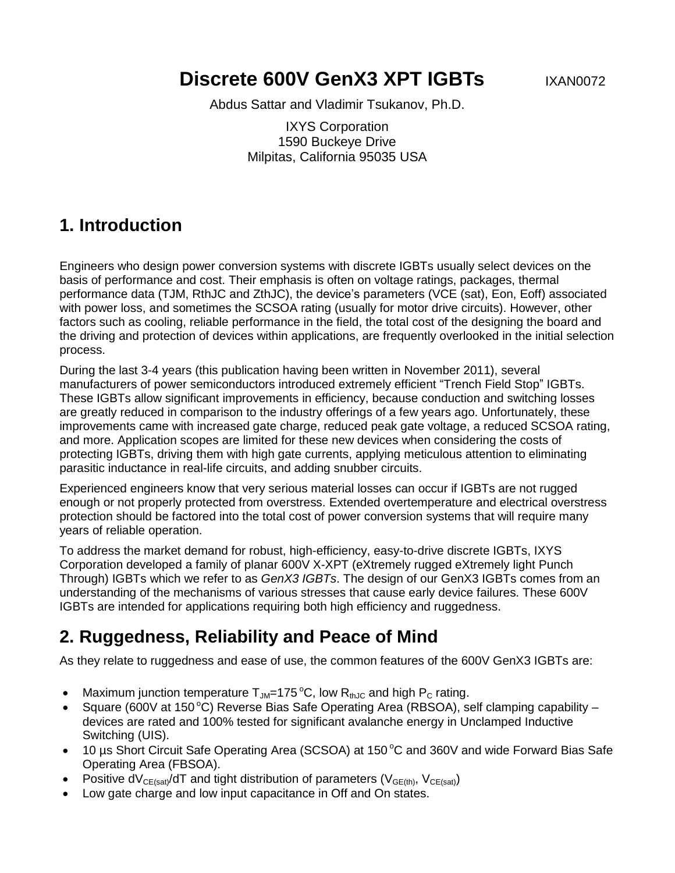**Discrete 600V GenX3 XPT IGBTs** IXAN0072

Abdus Sattar and Vladimir Tsukanov, Ph.D.

IXYS Corporation 1590 Buckeye Drive Milpitas, California 95035 USA

#### **1. Introduction**

Engineers who design power conversion systems with discrete IGBTs usually select devices on the basis of performance and cost. Their emphasis is often on voltage ratings, packages, thermal performance data (TJM, RthJC and ZthJC), the device's parameters (VCE (sat), Eon, Eoff) associated with power loss, and sometimes the SCSOA rating (usually for motor drive circuits). However, other factors such as cooling, reliable performance in the field, the total cost of the designing the board and the driving and protection of devices within applications, are frequently overlooked in the initial selection process.

During the last 3-4 years (this publication having been written in November 2011), several manufacturers of power semiconductors introduced extremely efficient "Trench Field Stop" IGBTs. These IGBTs allow significant improvements in efficiency, because conduction and switching losses are greatly reduced in comparison to the industry offerings of a few years ago. Unfortunately, these improvements came with increased gate charge, reduced peak gate voltage, a reduced SCSOA rating, and more. Application scopes are limited for these new devices when considering the costs of protecting IGBTs, driving them with high gate currents, applying meticulous attention to eliminating parasitic inductance in real-life circuits, and adding snubber circuits.

Experienced engineers know that very serious material losses can occur if IGBTs are not rugged enough or not properly protected from overstress. Extended overtemperature and electrical overstress protection should be factored into the total cost of power conversion systems that will require many years of reliable operation.

To address the market demand for robust, high-efficiency, easy-to-drive discrete IGBTs, IXYS Corporation developed a family of planar 600V X-XPT (eXtremely rugged eXtremely light Punch Through) IGBTs which we refer to as *GenX3 IGBTs*. The design of our GenX3 IGBTs comes from an understanding of the mechanisms of various stresses that cause early device failures. These 600V IGBTs are intended for applications requiring both high efficiency and ruggedness.

### **2. Ruggedness, Reliability and Peace of Mind**

As they relate to ruggedness and ease of use, the common features of the 600V GenX3 IGBTs are:

- Maximum junction temperature  $T_{JM}=175\,^{\circ}\text{C}$ , low  $R_{thJC}$  and high  $P_{C}$  rating.
- Square (600V at 150 °C) Reverse Bias Safe Operating Area (RBSOA), self clamping capability devices are rated and 100% tested for significant avalanche energy in Unclamped Inductive Switching (UIS).
- $\bullet$  10 µs Short Circuit Safe Operating Area (SCSOA) at 150 °C and 360V and wide Forward Bias Safe Operating Area (FBSOA).
- Positive dV<sub>CE(sat)</sub>/dT and tight distribution of parameters (V<sub>GE(th)</sub>, V<sub>CE(sat)</sub>)
- Low gate charge and low input capacitance in Off and On states.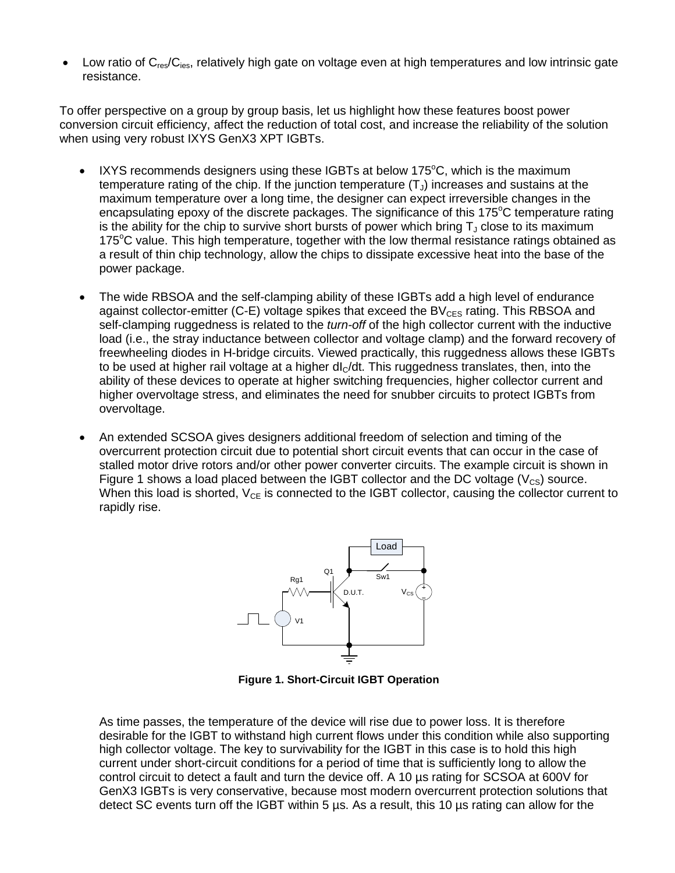Low ratio of  $C_{res}/C_{ies}$ , relatively high gate on voltage even at high temperatures and low intrinsic gate resistance.

To offer perspective on a group by group basis, let us highlight how these features boost power conversion circuit efficiency, affect the reduction of total cost, and increase the reliability of the solution when using very robust IXYS GenX3 XPT IGBTs.

- IXYS recommends designers using these IGBTs at below  $175^{\circ}$ C, which is the maximum temperature rating of the chip. If the junction temperature  $(T_{J})$  increases and sustains at the maximum temperature over a long time, the designer can expect irreversible changes in the encapsulating epoxy of the discrete packages. The significance of this  $175^{\circ}$ C temperature rating is the ability for the chip to survive short bursts of power which bring  $T_1$  close to its maximum 175<sup>o</sup>C value. This high temperature, together with the low thermal resistance ratings obtained as a result of thin chip technology, allow the chips to dissipate excessive heat into the base of the power package.
- The wide RBSOA and the self-clamping ability of these IGBTs add a high level of endurance against collector-emitter (C-E) voltage spikes that exceed the  $BV_{CFS}$  rating. This RBSOA and self-clamping ruggedness is related to the *turn-off* of the high collector current with the inductive load (i.e., the stray inductance between collector and voltage clamp) and the forward recovery of freewheeling diodes in H-bridge circuits. Viewed practically, this ruggedness allows these IGBTs to be used at higher rail voltage at a higher  $dl<sub>C</sub>/dt$ . This ruggedness translates, then, into the ability of these devices to operate at higher switching frequencies, higher collector current and higher overvoltage stress, and eliminates the need for snubber circuits to protect IGBTs from overvoltage.
- An extended SCSOA gives designers additional freedom of selection and timing of the overcurrent protection circuit due to potential short circuit events that can occur in the case of stalled motor drive rotors and/or other power converter circuits. The example circuit is shown in Figure 1 shows a load placed between the IGBT collector and the DC voltage ( $V_{CS}$ ) source. When this load is shorted,  $V_{CE}$  is connected to the IGBT collector, causing the collector current to rapidly rise.



**Figure 1. Short-Circuit IGBT Operation**

As time passes, the temperature of the device will rise due to power loss. It is therefore desirable for the IGBT to withstand high current flows under this condition while also supporting high collector voltage. The key to survivability for the IGBT in this case is to hold this high current under short-circuit conditions for a period of time that is sufficiently long to allow the control circuit to detect a fault and turn the device off. A 10 µs rating for SCSOA at 600V for GenX3 IGBTs is very conservative, because most modern overcurrent protection solutions that detect SC events turn off the IGBT within 5 µs. As a result, this 10 µs rating can allow for the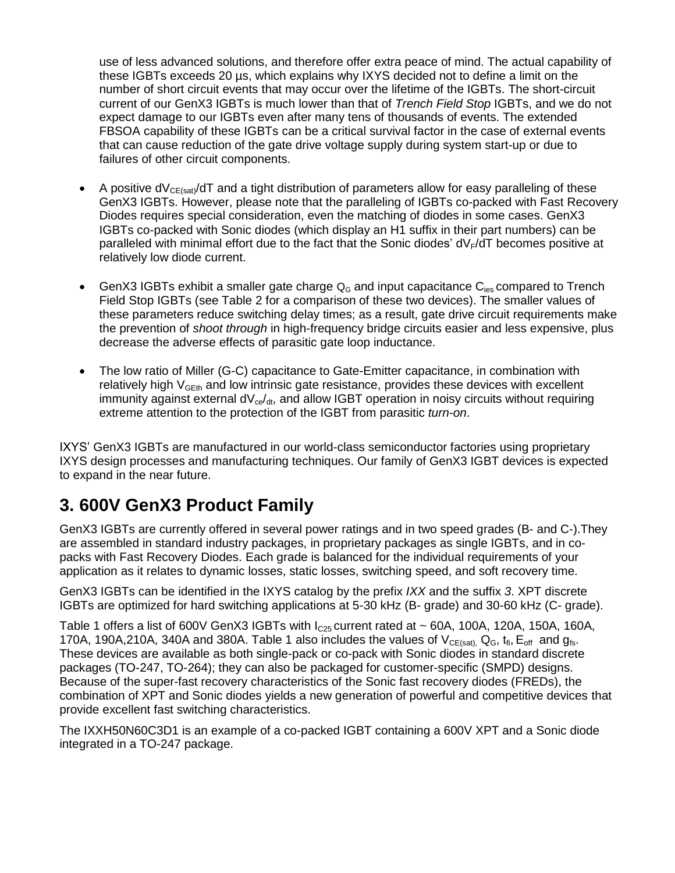use of less advanced solutions, and therefore offer extra peace of mind. The actual capability of these IGBTs exceeds 20 µs, which explains why IXYS decided not to define a limit on the number of short circuit events that may occur over the lifetime of the IGBTs. The short-circuit current of our GenX3 IGBTs is much lower than that of *Trench Field Stop* IGBTs, and we do not expect damage to our IGBTs even after many tens of thousands of events. The extended FBSOA capability of these IGBTs can be a critical survival factor in the case of external events that can cause reduction of the gate drive voltage supply during system start-up or due to failures of other circuit components.

- A positive  $dV_{CE(sat)}/dT$  and a tight distribution of parameters allow for easy paralleling of these GenX3 IGBTs. However, please note that the paralleling of IGBTs co-packed with Fast Recovery Diodes requires special consideration, even the matching of diodes in some cases. GenX3 IGBTs co-packed with Sonic diodes (which display an H1 suffix in their part numbers) can be paralleled with minimal effort due to the fact that the Sonic diodes'  $dV_F/dT$  becomes positive at relatively low diode current.
- GenX3 IGBTs exhibit a smaller gate charge  $Q_G$  and input capacitance  $C_{\text{ies}}$  compared to Trench Field Stop IGBTs (see Table 2 for a comparison of these two devices). The smaller values of these parameters reduce switching delay times; as a result, gate drive circuit requirements make the prevention of *shoot through* in high-frequency bridge circuits easier and less expensive, plus decrease the adverse effects of parasitic gate loop inductance.
- The low ratio of Miller (G-C) capacitance to Gate-Emitter capacitance, in combination with relatively high  $V_{\text{GEt}}$  and low intrinsic gate resistance, provides these devices with excellent immunity against external  $dV_{ce}/dt$ , and allow IGBT operation in noisy circuits without requiring extreme attention to the protection of the IGBT from parasitic *turn-on*.

IXYS' GenX3 IGBTs are manufactured in our world-class semiconductor factories using proprietary IXYS design processes and manufacturing techniques. Our family of GenX3 IGBT devices is expected to expand in the near future.

# **3. 600V GenX3 Product Family**

GenX3 IGBTs are currently offered in several power ratings and in two speed grades (B- and C-).They are assembled in standard industry packages, in proprietary packages as single IGBTs, and in copacks with Fast Recovery Diodes. Each grade is balanced for the individual requirements of your application as it relates to dynamic losses, static losses, switching speed, and soft recovery time.

GenX3 IGBTs can be identified in the IXYS catalog by the prefix *IXX* and the suffix *3*. XPT discrete IGBTs are optimized for hard switching applications at 5-30 kHz (B- grade) and 30-60 kHz (C- grade).

Table 1 offers a list of 600V GenX3 IGBTs with  $I_{C25}$  current rated at  $\sim$  60A, 100A, 120A, 150A, 160A, 170A, 190A,210A, 340A and 380A. Table 1 also includes the values of  $V_{CE(sat)}$ , Q<sub>G</sub>,  $t_{fi}$ , E<sub>off</sub> and  $g_{fs}$ . These devices are available as both single-pack or co-pack with Sonic diodes in standard discrete packages (TO-247, TO-264); they can also be packaged for customer-specific (SMPD) designs. Because of the super-fast recovery characteristics of the Sonic fast recovery diodes (FREDs), the combination of XPT and Sonic diodes yields a new generation of powerful and competitive devices that provide excellent fast switching characteristics.

The IXXH50N60C3D1 is an example of a co-packed IGBT containing a 600V XPT and a Sonic diode integrated in a TO-247 package.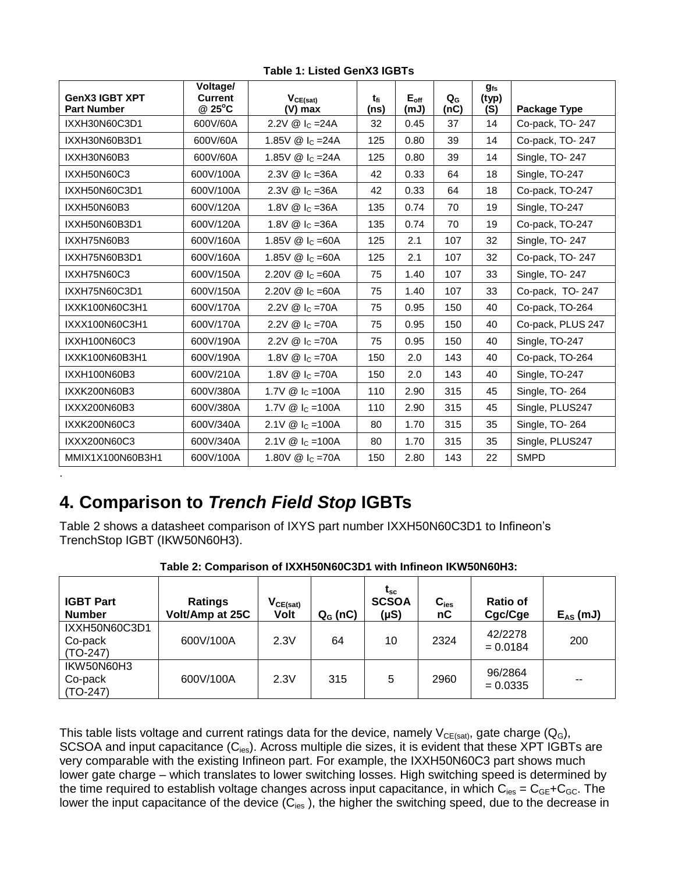| <b>GenX3 IGBT XPT</b><br><b>Part Number</b> | Voltage/<br><b>Current</b><br>@ 25°C | $V_{CE(sat)}$<br>(V) max                     | t <sub>fi</sub><br>(ns) | $E_{\text{off}}$<br>(mJ) | $Q_{\rm G}$<br>(nc) | $g_{fs}$<br>(typ)<br>(S) | Package Type      |  |
|---------------------------------------------|--------------------------------------|----------------------------------------------|-------------------------|--------------------------|---------------------|--------------------------|-------------------|--|
| IXXH30N60C3D1                               | 600V/60A                             | 2.2V $\circledR$ I <sub>C</sub> = 24A        | 32                      | 0.45                     | 37                  | 14                       | Co-pack, TO-247   |  |
| IXXH30N60B3D1                               | 600V/60A                             | 1.85 $V \otimes I_C = 24A$                   | 125                     | 0.80                     | 39                  | 14                       | Co-pack, TO-247   |  |
| IXXH30N60B3                                 | 600V/60A                             | 1.85V $\circledR$ I <sub>C</sub> = 24A       | 125                     | 0.80                     | 39                  | 14                       | Single, TO-247    |  |
| IXXH50N60C3                                 | 600V/100A                            | 2.3V $\textcircled{a}$ I <sub>C</sub> = 36A  | 42                      | 0.33                     | 64                  | 18                       | Single, TO-247    |  |
| IXXH50N60C3D1                               | 600V/100A                            | 42<br>$2.3V \& c = 36A$                      |                         | 0.33                     | 64                  | 18                       | Co-pack, TO-247   |  |
| IXXH50N60B3                                 | 600V/120A                            | 1.8V $\omega$ I <sub>C</sub> = 36A           | 135<br>70<br>0.74       |                          | 19                  | Single, TO-247           |                   |  |
| IXXH50N60B3D1                               | 600V/120A                            | 1.8V @ I <sub>c</sub> =36A                   | 135                     | 0.74                     | 70                  | 19                       | Co-pack, TO-247   |  |
| IXXH75N60B3                                 | 600V/160A                            | 1.85V $\circledR$ I <sub>C</sub> = 60A       | 125                     | 2.1                      | 107                 | 32                       | Single, TO-247    |  |
| IXXH75N60B3D1                               | 600V/160A                            | 1.85V $\textcircled{a}$ I <sub>C</sub> = 60A | 125                     | 2.1                      | 107                 | 32                       | Co-pack, TO-247   |  |
| IXXH75N60C3                                 | 600V/150A                            | 2.20V $\textcircled{a}$ I <sub>C</sub> = 60A | 75                      | 1.40                     | 107                 | 33                       | Single, TO-247    |  |
| IXXH75N60C3D1                               | 600V/150A                            | 2.20V $\textcircled{a}$ I <sub>C</sub> = 60A | 75                      | 1.40                     | 107                 | 33                       | Co-pack, TO-247   |  |
| IXXK100N60C3H1                              | 600V/170A                            | 2.2V @ $ c = 70A$                            | 75                      | 0.95                     | 150                 | 40                       | Co-pack, TO-264   |  |
| IXXX100N60C3H1                              | 600V/170A                            | 2.2V $\circledR$ $I_C = 70A$                 | 75<br>0.95              |                          | 150                 | 40                       | Co-pack, PLUS 247 |  |
| IXXH100N60C3                                | 600V/190A                            | 2.2V @ $ c = 70A$                            | 75                      | 150<br>40<br>0.95        |                     |                          | Single, TO-247    |  |
| IXXK100N60B3H1                              | 600V/190A                            | 1.8V $\textcircled{a}$ I <sub>C</sub> = 70A  | 150                     | 2.0                      | 143                 | 40                       | Co-pack, TO-264   |  |
| IXXH100N60B3                                | 600V/210A                            | 1.8V $\circledR$ $I_c = 70A$                 | 150                     | 2.0                      | 143                 | 40                       | Single, TO-247    |  |
| IXXK200N60B3                                | 600V/380A                            | 1.7V $@$ Ic = 100A                           | 110                     | 2.90                     | 315                 | 45                       | Single, TO-264    |  |
| IXXX200N60B3                                | 600V/380A                            | 1.7V $\circledR$ I <sub>C</sub> = 100A       | 110                     | 2.90                     | 315                 | 45                       | Single, PLUS247   |  |
| IXXK200N60C3                                | 600V/340A                            | 2.1V @ $\lg$ =100A                           | 80                      | 1.70                     | 315                 | 35                       | Single, TO-264    |  |
| IXXX200N60C3                                | 600V/340A                            | 2.1V $\circledR$ I <sub>C</sub> = 100A       | 80                      | 1.70                     | 315                 | 35                       | Single, PLUS247   |  |
| MMIX1X100N60B3H1                            | 600V/100A                            | 1.80V $\textcircled{a}$ I <sub>C</sub> = 70A | 150                     | 2.80                     | 143                 | 22                       | <b>SMPD</b>       |  |
|                                             |                                      |                                              |                         |                          |                     |                          |                   |  |

**Table 1: Listed GenX3 IGBTs**

### **4. Comparison to** *Trench Field Stop* **IGBTs**

Table 2 shows a datasheet comparison of IXYS part number IXXH50N60C3D1 to Infineon's TrenchStop IGBT (IKW50N60H3).

| <b>IGBT Part</b><br><b>Number</b>      | <b>Ratings</b><br>Volt/Amp at 25C | $V_{CE(sat)}$<br><b>Volt</b> | $Q_{G}$ (nC) | $t_{\rm sc}$<br><b>SCSOA</b><br>$(\mu S)$ | $C_{\text{ies}}$<br>nC | <b>Ratio of</b><br>Cgc/Cge | $E_{AS}$ (mJ) |
|----------------------------------------|-----------------------------------|------------------------------|--------------|-------------------------------------------|------------------------|----------------------------|---------------|
| IXXH50N60C3D1<br>Co-pack<br>$(TO-247)$ | 600V/100A                         | 2.3V                         | 64           | 10                                        | 2324                   | 42/2278<br>$= 0.0184$      | 200           |
| IKW50N60H3<br>Co-pack<br>$(TO-247)$    | 600V/100A                         | 2.3V                         | 315          | 5                                         | 2960                   | 96/2864<br>$= 0.0335$      | $- -$         |

**Table 2: Comparison of IXXH50N60C3D1 with Infineon IKW50N60H3:**

This table lists voltage and current ratings data for the device, namely  $V_{CE(sat)}$ , gate charge (Q<sub>G</sub>), SCSOA and input capacitance (C<sub>ies</sub>). Across multiple die sizes, it is evident that these XPT IGBTs are very comparable with the existing Infineon part. For example, the IXXH50N60C3 part shows much lower gate charge – which translates to lower switching losses. High switching speed is determined by the time required to establish voltage changes across input capacitance, in which  $C_{\text{ies}} = C_{GE} + C_{GC}$ . The lower the input capacitance of the device  $(\check{C}_{\text{ies}})$ , the higher the switching speed, due to the decrease in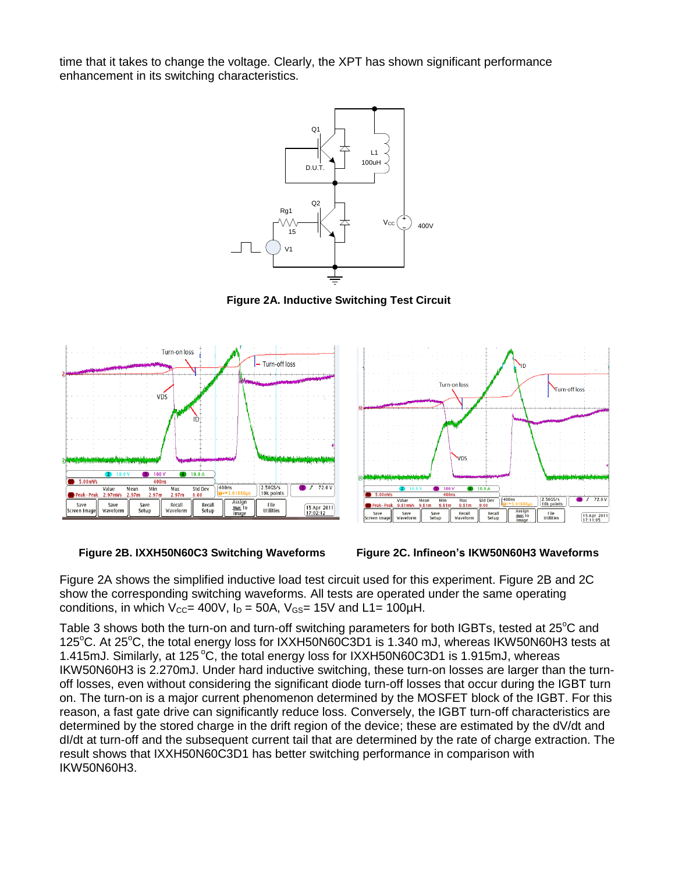time that it takes to change the voltage. Clearly, the XPT has shown significant performance enhancement in its switching characteristics.



**Figure 2A. Inductive Switching Test Circuit**







Figure 2A shows the simplified inductive load test circuit used for this experiment. Figure 2B and 2C show the corresponding switching waveforms. All tests are operated under the same operating conditions, in which  $V_{CC}$ = 400V,  $I_D$  = 50A,  $V_{GS}$ = 15V and L1= 100µH.

Table 3 shows both the turn-on and turn-off switching parameters for both IGBTs, tested at 25<sup>o</sup>C and 125<sup>o</sup>C. At 25<sup>o</sup>C, the total energy loss for IXXH50N60C3D1 is 1.340 mJ, whereas IKW50N60H3 tests at 1.415mJ. Similarly, at 125 °C, the total energy loss for IXXH50N60C3D1 is 1.915mJ, whereas IKW50N60H3 is 2.270mJ. Under hard inductive switching, these turn-on losses are larger than the turnoff losses, even without considering the significant diode turn-off losses that occur during the IGBT turn on. The turn-on is a major current phenomenon determined by the MOSFET block of the IGBT. For this reason, a fast gate drive can significantly reduce loss. Conversely, the IGBT turn-off characteristics are determined by the stored charge in the drift region of the device; these are estimated by the dV/dt and dl/dt at turn-off and the subsequent current tail that are determined by the rate of charge extraction. The result shows that IXXH50N60C3D1 has better switching performance in comparison with IKW50N60H3.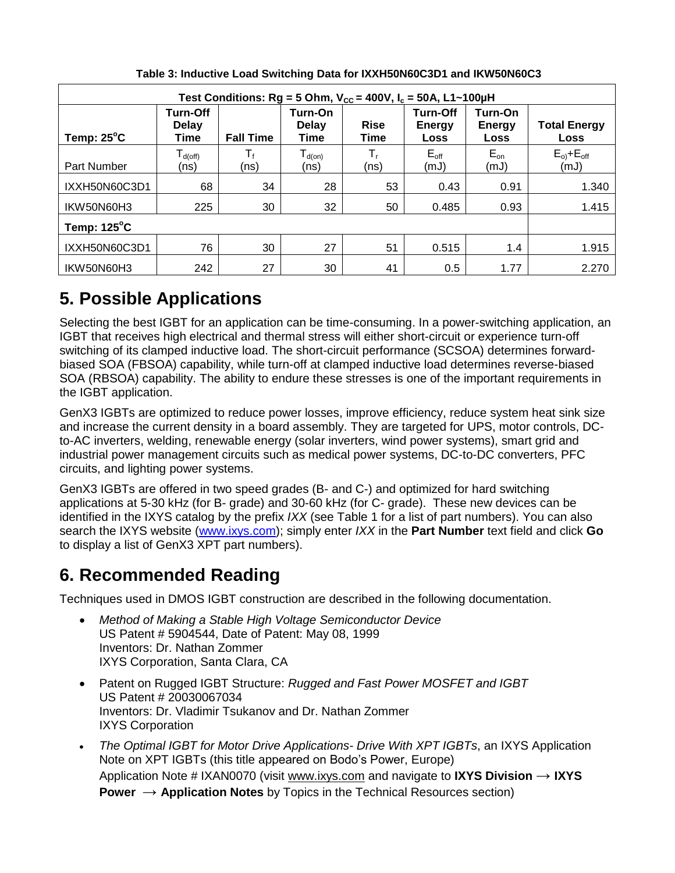| Test Conditions: Rg = 5 Ohm, $V_{CC}$ = 400V, $I_c$ = 50A, L1~100µH |                                                 |                  |                                          |                     |                                          |                                  |                             |  |
|---------------------------------------------------------------------|-------------------------------------------------|------------------|------------------------------------------|---------------------|------------------------------------------|----------------------------------|-----------------------------|--|
| Temp: $25^{\circ}$ C                                                | <b>Turn-Off</b><br><b>Delay</b><br>Time         | <b>Fall Time</b> | Turn-On<br><b>Delay</b><br>Time          | <b>Rise</b><br>Time | <b>Turn-Off</b><br><b>Energy</b><br>Loss | Turn-On<br>Energy<br><b>Loss</b> | <b>Total Energy</b><br>Loss |  |
| Part Number                                                         | $\mathsf{T}_{\textsf{d}(\textsf{off})}$<br>(ns) | (ns)             | ${\mathsf T}_{\text{\sf d(0n)}}$<br>(ns) | Т,<br>(ns)          | $E_{\text{off}}$<br>(mJ)                 | $E_{on}$<br>(mJ)                 | $E_{o}$ + $E_{off}$<br>(mJ) |  |
| IXXH50N60C3D1                                                       | 68                                              | 34               | 28                                       | 53                  | 0.43                                     | 0.91                             | 1.340                       |  |
| IKW50N60H3                                                          | 225                                             | 30               | 32                                       | 50                  | 0.485                                    | 0.93                             | 1.415                       |  |
| Temp: $125^{\circ}$ C                                               |                                                 |                  |                                          |                     |                                          |                                  |                             |  |
| IXXH50N60C3D1                                                       | 76                                              | 30               | 27                                       | 51                  | 0.515                                    | 1.4                              | 1.915                       |  |
| IKW50N60H3                                                          | 242                                             | 27               | 30                                       | 41                  | 0.5                                      | 1.77                             | 2.270                       |  |

**Table 3: Inductive Load Switching Data for IXXH50N60C3D1 and IKW50N60C3**

## **5. Possible Applications**

Selecting the best IGBT for an application can be time-consuming. In a power-switching application, an IGBT that receives high electrical and thermal stress will either short-circuit or experience turn-off switching of its clamped inductive load. The short-circuit performance (SCSOA) determines forwardbiased SOA (FBSOA) capability, while turn-off at clamped inductive load determines reverse-biased SOA (RBSOA) capability. The ability to endure these stresses is one of the important requirements in the IGBT application.

GenX3 IGBTs are optimized to reduce power losses, improve efficiency, reduce system heat sink size and increase the current density in a board assembly. They are targeted for UPS, motor controls, DCto-AC inverters, welding, renewable energy (solar inverters, wind power systems), smart grid and industrial power management circuits such as medical power systems, DC-to-DC converters, PFC circuits, and lighting power systems.

GenX3 IGBTs are offered in two speed grades (B- and C-) and optimized for hard switching applications at 5-30 kHz (for B- grade) and 30-60 kHz (for C- grade). These new devices can be identified in the IXYS catalog by the prefix *IXX* (see Table 1 for a list of part numbers). You can also search the IXYS website [\(www.ixys.com\)](http://www.ixys.com/); simply enter *IXX* in the **Part Number** text field and click **Go** to display a list of GenX3 XPT part numbers).

### **6. Recommended Reading**

Techniques used in DMOS IGBT construction are described in the following documentation.

- *Method of Making a Stable High Voltage Semiconductor Device* US Patent # 5904544, Date of Patent: May 08, 1999 Inventors: Dr. Nathan Zommer IXYS Corporation, Santa Clara, CA
- Patent on Rugged IGBT Structure: *Rugged and Fast Power MOSFET and IGBT* US Patent # 20030067034 Inventors: Dr. Vladimir Tsukanov and Dr. Nathan Zommer IXYS Corporation
- *The Optimal IGBT for Motor Drive Applications- Drive With XPT IGBTs*, an IXYS Application Note on XPT IGBTs (this title appeared on Bodo's Power, Europe) Application Note # IXAN0070 (visit [www.ixys.com](http://www.ixys.com/) and navigate to **IXYS Division** → **IXYS Power** → **Application Notes** by Topics in the Technical Resources section)